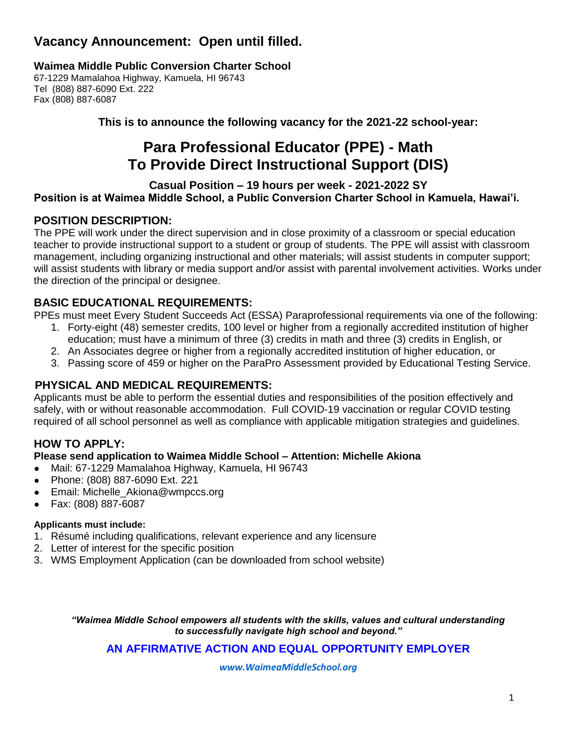# **Vacancy Announcement: Open until filled.**

#### **Waimea Middle Public Conversion Charter School**

67-1229 Mamalahoa Highway, Kamuela, HI 96743 Tel (808) 887-6090 Ext. 222 Fax (808) 887-6087

**This is to announce the following vacancy for the 2021-22 school-year:**

# **Para Professional Educator (PPE) - Math To Provide Direct Instructional Support (DIS)**

**Casual Position – 19 hours per week - 2021-2022 SY Position is at Waimea Middle School, a Public Conversion Charter School in Kamuela, Hawai'i.** 

### **POSITION DESCRIPTION:**

The PPE will work under the direct supervision and in close proximity of a classroom or special education teacher to provide instructional support to a student or group of students. The PPE will assist with classroom management, including organizing instructional and other materials; will assist students in computer support; will assist students with library or media support and/or assist with parental involvement activities. Works under the direction of the principal or designee.

#### **BASIC EDUCATIONAL REQUIREMENTS:**

PPEs must meet Every Student Succeeds Act (ESSA) Paraprofessional requirements via one of the following:

- 1. Forty-eight (48) semester credits, 100 level or higher from a regionally accredited institution of higher education; must have a minimum of three (3) credits in math and three (3) credits in English, or
- 2. An Associates degree or higher from a regionally accredited institution of higher education, or
- 3. Passing score of 459 or higher on the ParaPro Assessment provided by Educational Testing Service.

#### **PHYSICAL AND MEDICAL REQUIREMENTS:**

Applicants must be able to perform the essential duties and responsibilities of the position effectively and safely, with or without reasonable accommodation. Full COVID-19 vaccination or regular COVID testing required of all school personnel as well as compliance with applicable mitigation strategies and guidelines.

# **HOW TO APPLY:**

#### **Please send application to Waimea Middle School – Attention: Michelle Akiona**

- Mail: 67-1229 Mamalahoa Highway, Kamuela, HI 96743
- Phone: (808) 887-6090 Ext. 221
- Email: Michelle Akiona@wmpccs.org
- Fax: (808) 887-6087

#### **Applicants must include:**

- 1. Résumé including qualifications, relevant experience and any licensure
- 2. Letter of interest for the specific position
- 3. WMS Employment Application (can be downloaded from school website)

*"Waimea Middle School empowers all students with the skills, values and cultural understanding to successfully navigate high school and beyond."*

#### **AN AFFIRMATIVE ACTION AND EQUAL OPPORTUNITY EMPLOYER**

*[www.WaimeaMiddleSchool.org](http://www.waimeamiddleschool.org/)*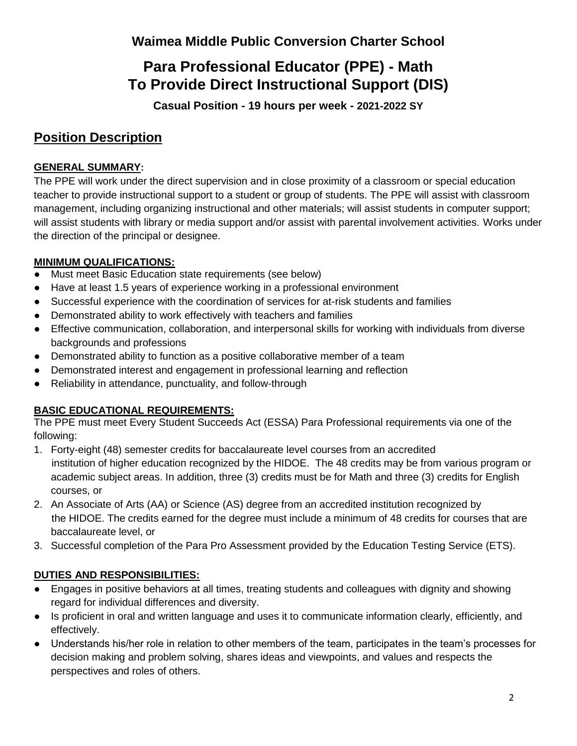# **Waimea Middle Public Conversion Charter School**

# **Para Professional Educator (PPE) - Math To Provide Direct Instructional Support (DIS)**

**Casual Position - 19 hours per week - 2021-2022 SY** 

# **Position Description**

### **GENERAL SUMMARY:**

The PPE will work under the direct supervision and in close proximity of a classroom or special education teacher to provide instructional support to a student or group of students. The PPE will assist with classroom management, including organizing instructional and other materials; will assist students in computer support; will assist students with library or media support and/or assist with parental involvement activities. Works under the direction of the principal or designee.

# **MINIMUM QUALIFICATIONS:**

- Must meet Basic Education state requirements (see below)
- Have at least 1.5 years of experience working in a professional environment
- Successful experience with the coordination of services for at-risk students and families
- Demonstrated ability to work effectively with teachers and families
- Effective communication, collaboration, and interpersonal skills for working with individuals from diverse backgrounds and professions
- Demonstrated ability to function as a positive collaborative member of a team
- Demonstrated interest and engagement in professional learning and reflection
- Reliability in attendance, punctuality, and follow-through

# **BASIC EDUCATIONAL REQUIREMENTS:**

The PPE must meet Every Student Succeeds Act (ESSA) Para Professional requirements via one of the following:

- 1. Forty-eight (48) semester credits for baccalaureate level courses from an accredited institution of higher education recognized by the HIDOE. The 48 credits may be from various program or academic subject areas. In addition, three (3) credits must be for Math and three (3) credits for English courses, or
- 2. An Associate of Arts (AA) or Science (AS) degree from an accredited institution recognized by the HIDOE. The credits earned for the degree must include a minimum of 48 credits for courses that are baccalaureate level, or
- 3. Successful completion of the Para Pro Assessment provided by the Education Testing Service (ETS).

# **DUTIES AND RESPONSIBILITIES:**

- Engages in positive behaviors at all times, treating students and colleagues with dignity and showing regard for individual differences and diversity.
- Is proficient in oral and written language and uses it to communicate information clearly, efficiently, and effectively.
- Understands his/her role in relation to other members of the team, participates in the team's processes for decision making and problem solving, shares ideas and viewpoints, and values and respects the perspectives and roles of others.